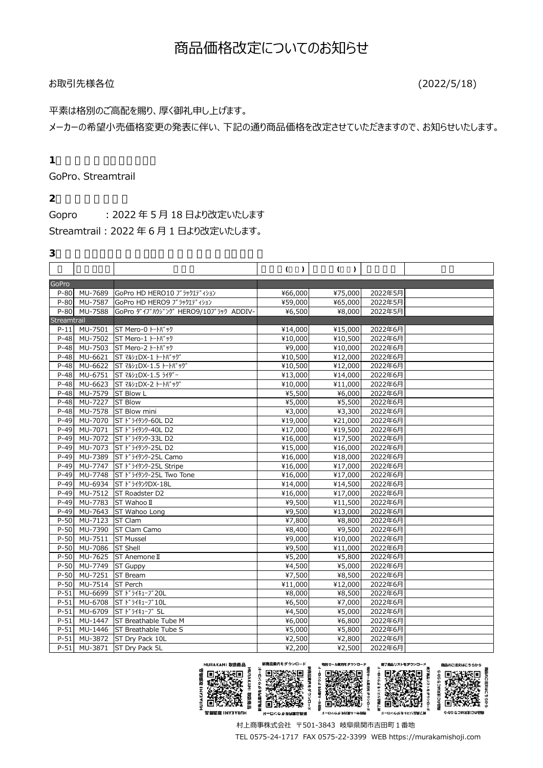# お取引先様各位 (2022/5/18)

# 平素は格別のご高配を賜り、厚く御礼申し上げます。

メーカーの希望小売価格変更の発表に伴い、下記の通り商品価格を改定させていただきますので、お知らせいたします。

## **1.価格改定となるブランド**

GoPro、Streamtrail

## **2.価格改定の時期**

Gopro ︓2022 年 5 月 18 日より改定いたします

Streamtrail︓2022 年 6 月 1 日より改定いたします。

#### **3.弊社カタログ商品のうち価格改定の対象となる商品**

|             |                       |                                         | $\lambda$<br>( | (<br>$\mathcal{L}$    |         |  |
|-------------|-----------------------|-----------------------------------------|----------------|-----------------------|---------|--|
| GoPro       |                       |                                         |                |                       |         |  |
| $P-80$      | MU-7689               | GoPro HD HERO10 ブラックエディション              | ¥66,000        | ¥75,000               | 2022年5月 |  |
|             |                       | P-80 MU-7587 GoPro HD HERO9 J 5y717 131 | ¥59,000        | ¥65,000               | 2022年5月 |  |
|             | P-80 MU-7588          | GoPro ダイブルウジング HERO9/10ブラック ADDIV-      | ¥6,500         | ¥8,000                | 2022年5月 |  |
| Streamtrail |                       |                                         |                |                       |         |  |
| $P-11$      | MU-7501               | ST Mero-0 トートバック                        | ¥14,000        | ¥15,000               | 2022年6月 |  |
| $P-48$      |                       | MU-7502 ST Mero-1 トートバック                | ¥10,000        | ¥10,500               | 2022年6月 |  |
| $P-48$      |                       | MU-7503 ST Mero-2 トートバック                | ¥9,000         | $\overline{*}10,000$  | 2022年6月 |  |
| $P-48$      | MU-6621               | ST マルシェDX-1 トートバッグ                      | ¥10,500        | ¥12,000               | 2022年6月 |  |
|             |                       | P-48 MU-6622 ST 7 0 DX-1.5 -- N' ""     | ¥10,500        | ¥12,000               | 2022年6月 |  |
| $P-48$      | $\overline{M}$ U-6751 | ST マルシェDX-1.5 ライダー                      | ¥13,000        | ¥14,000               | 2022年6月 |  |
| $P-48$      |                       | MU-6623 ST マルシェDX-2 トートバッグ              | ¥10,000        | ¥11,000               | 2022年6月 |  |
| $P-48$      | MU-7579 ST Blow L     |                                         | ¥5,500         | ¥6,000                | 2022年6月 |  |
|             | P-48 MU-7227          | <b>ST Blow</b>                          | ¥5,000         | ¥5,500                | 2022年6月 |  |
| $P-48$      | MU-7578               | ST Blow mini                            | ¥3,000         | ¥3,300                | 2022年6月 |  |
| $P-49$      | MU-7070               | ST ドライタンクー60L D2                        | ¥19,000        | ¥21,000               | 2022年6月 |  |
| $P-49$      | MU-7071               | ST ドライタンクー40L D2                        | ¥17,000        | ¥19,500               | 2022年6月 |  |
| $P-49$      | MU-7072               | ST ドライタンクー33L D2                        | ¥16,000        | $\overline{*}17,500$  | 2022年6月 |  |
| $P-49$      | MU-7073               | ST ドライタンクー25L D2                        | ¥15,000        | $\overline{*}16,000$  | 2022年6月 |  |
| $P-49$      |                       | MU-7389 ST ドライタンク-25L Camo              | ¥16,000        | ¥18,000               | 2022年6月 |  |
| $P-49$      | MU-7747               | ST ドライタンク-25L Stripe                    | ¥16,000        | ¥17,000               | 2022年6月 |  |
| $P-49$      | MU-7748               | ST ドライタンク-25L Two Tone                  | ¥16,000        | $\overline{417,000}$  | 2022年6月 |  |
| $P-49$      |                       | MU-6934 ST ドライタンクDX-18L                 | ¥14,000        | ¥14,500               | 2022年6月 |  |
| $P-49$      | MU-7512               | ST Roadster D2                          | ¥16,000        | ¥17,000               | 2022年6月 |  |
|             |                       | P-49 MU-7783 ST Wahoo II                | ¥9,500         | ¥11,500               | 2022年6月 |  |
| $P-49$      |                       | MU-7643 ST Wahoo Long                   | ¥9,500         | $\overline{*}13,000$  | 2022年6月 |  |
| $P-50$      | MU-7123 ST Clam       |                                         | ¥7,800         | ¥8,800                | 2022年6月 |  |
| $P-50$      | MU-7390               | <b>ST Clam Camo</b>                     | ¥8,400         | ¥9,500                | 2022年6月 |  |
|             | P-50 MU-7511          | <b>ST Mussel</b>                        | ¥9,000         | ¥10,000               | 2022年6月 |  |
| $P-50$      | MU-7086               | <b>ST Shell</b>                         | ¥9,500         | $\overline{*}11,000$  | 2022年6月 |  |
| $P-50$      |                       | MU-7625 ST Anemone II                   | ¥5,200         | ¥5,800                | 2022年6月 |  |
| $P-50$      | MU-7749               | <b>ST Guppy</b>                         | ¥4,500         | ¥5,000                | 2022年6月 |  |
| $P-50$      | MU-7251               | <b>ST Bream</b>                         | ¥7,500         | ¥8,500                | 2022年6月 |  |
| $P-50$      | MU-7514 ST Perch      |                                         | ¥11,000        | $\overline{*}12,000$  | 2022年6月 |  |
| $P-51$      | MU-6699               | ST ドライキューブ20L                           | ¥8,000         | ¥8,500                | 2022年6月 |  |
| $P-51$      | MU-6708               | ST ドライキューブ10L                           | ¥6,500         | ¥7,000                | 2022年6月 |  |
| $P-51$      | MU-6709               | ST ドライキューブ 5L                           | ¥4,500         | $\frac{1}{1}$ \$5,000 | 2022年6月 |  |
| $P - 51$    | MU-1447               | <b>ST Breathable Tube M</b>             | ¥6,000         | ¥6,800                | 2022年6月 |  |
| $P-51$      | MU-1446               | <b>ST Breathable Tube S</b>             | ¥5,000         | ¥5,800                | 2022年6月 |  |
| $P-51$      |                       | MU-3872 ST Dry Pack 10L                 | ¥2,500         | ¥2,800                | 2022年6月 |  |
| $P-51$      |                       | MU-3871 ST Dry Pack 5L                  | ¥2,200         | ¥2,500                | 2022年6月 |  |



村上商事株式会社 〒501-3843 岐阜県関市吉田町1番地

TEL 0575-24-1717 FAX 0575-22-3399 WEB https://murakamishoji.com